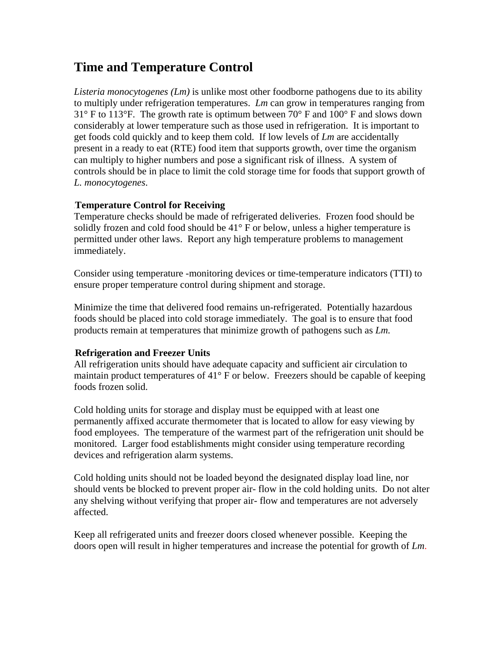# **Time and Temperature Control**

*Listeria monocytogenes (Lm)* is unlike most other foodborne pathogens due to its ability to multiply under refrigeration temperatures. *Lm* can grow in temperatures ranging from  $31^{\circ}$  F to 113°F. The growth rate is optimum between 70° F and 100° F and slows down considerably at lower temperature such as those used in refrigeration. It is important to get foods cold quickly and to keep them cold. If low levels of *Lm* are accidentally present in a ready to eat (RTE) food item that supports growth, over time the organism can multiply to higher numbers and pose a significant risk of illness. A system of controls should be in place to limit the cold storage time for foods that support growth of *L. monocytogenes*.

## **Temperature Control for Receiving**

Temperature checks should be made of refrigerated deliveries. Frozen food should be solidly frozen and cold food should be  $41^{\circ}$  F or below, unless a higher temperature is permitted under other laws. Report any high temperature problems to management immediately.

Consider using temperature -monitoring devices or time-temperature indicators (TTI) to ensure proper temperature control during shipment and storage.

Minimize the time that delivered food remains un-refrigerated. Potentially hazardous foods should be placed into cold storage immediately. The goal is to ensure that food products remain at temperatures that minimize growth of pathogens such as *Lm.*

## 1B**Refrigeration and Freezer Units**

All refrigeration units should have adequate capacity and sufficient air circulation to maintain product temperatures of 41° F or below. Freezers should be capable of keeping foods frozen solid.

Cold holding units for storage and display must be equipped with at least one permanently affixed accurate thermometer that is located to allow for easy viewing by food employees. The temperature of the warmest part of the refrigeration unit should be monitored. Larger food establishments might consider using temperature recording devices and refrigeration alarm systems.

Cold holding units should not be loaded beyond the designated display load line, nor should vents be blocked to prevent proper air- flow in the cold holding units. Do not alter any shelving without verifying that proper air- flow and temperatures are not adversely affected.

Keep all refrigerated units and freezer doors closed whenever possible. Keeping the doors open will result in higher temperatures and increase the potential for growth of *Lm*.